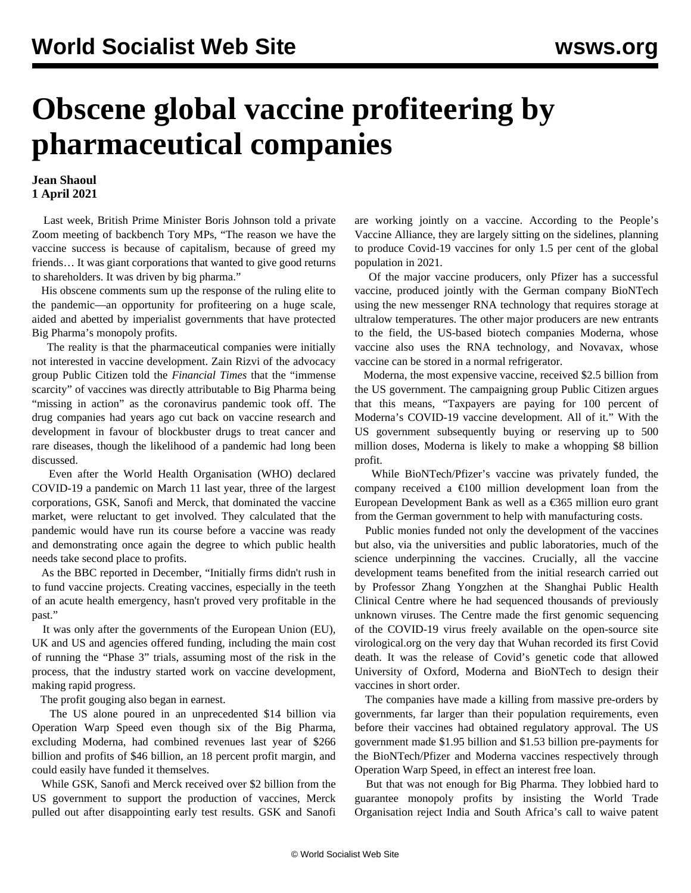## **Obscene global vaccine profiteering by pharmaceutical companies**

## **Jean Shaoul 1 April 2021**

 Last week, British Prime Minister Boris Johnson told a private Zoom meeting of backbench Tory MPs, "The reason we have the vaccine success is because of capitalism, because of greed my friends… It was giant corporations that wanted to give good returns to shareholders. It was driven by big pharma."

 His obscene comments sum up the response of the ruling elite to the pandemic—an opportunity for profiteering on a huge scale, aided and abetted by imperialist governments that have protected Big Pharma's monopoly profits.

 The reality is that the pharmaceutical companies were initially not interested in vaccine development. Zain Rizvi of the advocacy group Public Citizen told the *Financial Times* that the "immense scarcity" of vaccines was directly attributable to Big Pharma being "missing in action" as the coronavirus pandemic took off. The drug companies had years ago cut back on vaccine research and development in favour of blockbuster drugs to treat cancer and rare diseases, though the likelihood of a pandemic had long been discussed.

 Even after the World Health Organisation (WHO) declared COVID-19 a pandemic on March 11 last year, three of the largest corporations, GSK, Sanofi and Merck, that dominated the vaccine market, were reluctant to get involved. They calculated that the pandemic would have run its course before a vaccine was ready and demonstrating once again the degree to which public health needs take second place to profits.

 As the BBC reported in December, "Initially firms didn't rush in to fund vaccine projects. Creating vaccines, especially in the teeth of an acute health emergency, hasn't proved very profitable in the past."

 It was only after the governments of the European Union (EU), UK and US and agencies offered funding, including the main cost of running the "Phase 3" trials, assuming most of the risk in the process, that the industry started work on vaccine development, making rapid progress.

The profit gouging also began in earnest.

 The US alone poured in an unprecedented \$14 billion via Operation Warp Speed even though six of the Big Pharma, excluding Moderna, had combined revenues last year of \$266 billion and profits of \$46 billion, an 18 percent profit margin, and could easily have funded it themselves.

 While GSK, Sanofi and Merck received over \$2 billion from the US government to support the production of vaccines, Merck pulled out after disappointing early test results. GSK and Sanofi are working jointly on a vaccine. According to the People's Vaccine Alliance, they are largely sitting on the sidelines, planning to produce Covid-19 vaccines for only 1.5 per cent of the global population in 2021.

 Of the major vaccine producers, only Pfizer has a successful vaccine, produced jointly with the German company BioNTech using the new messenger RNA technology that requires storage at ultralow temperatures. The other major producers are new entrants to the field, the US-based biotech companies Moderna, whose vaccine also uses the RNA technology, and Novavax, whose vaccine can be stored in a normal refrigerator.

 Moderna, the most expensive vaccine, received \$2.5 billion from the US government. The campaigning group Public Citizen argues that this means, "Taxpayers are paying for 100 percent of Moderna's COVID-19 vaccine development. All of it." With the US government subsequently buying or reserving up to 500 million doses, Moderna is likely to make a whopping \$8 billion profit.

 While BioNTech/Pfizer's vaccine was privately funded, the company received a  $\epsilon$ 100 million development loan from the European Development Bank as well as a €365 million euro grant from the German government to help with manufacturing costs.

 Public monies funded not only the development of the vaccines but also, via the universities and public laboratories, much of the science underpinning the vaccines. Crucially, all the vaccine development teams benefited from the initial research carried out by Professor Zhang Yongzhen at the Shanghai Public Health Clinical Centre where he had sequenced thousands of previously unknown viruses. The Centre made the first genomic sequencing of the COVID-19 virus freely available on the open-source site virological.org on the very day that Wuhan recorded its first Covid death. It was the release of Covid's genetic code that allowed University of Oxford, Moderna and BioNTech to design their vaccines in short order.

 The companies have made a killing from massive pre-orders by governments, far larger than their population requirements, even before their vaccines had obtained regulatory approval. The US government made \$1.95 billion and \$1.53 billion pre-payments for the BioNTech/Pfizer and Moderna vaccines respectively through Operation Warp Speed, in effect an interest free loan.

 But that was not enough for Big Pharma. They lobbied hard to guarantee monopoly profits by insisting the World Trade Organisation reject India and South Africa's call to waive patent